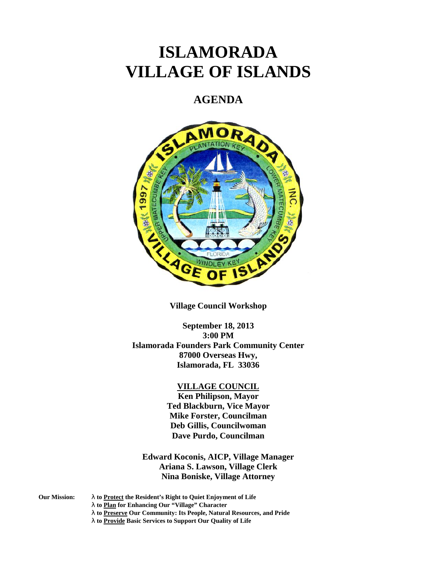# **ISLAMORADA VILLAGE OF ISLANDS**

## **AGENDA**



**Village Council Workshop**

**September 18, 2013 3:00 PM Islamorada Founders Park Community Center 87000 Overseas Hwy, Islamorada, FL 33036**

#### **VILLAGE COUNCIL**

**Ken Philipson, Mayor Ted Blackburn, Vice Mayor Mike Forster, Councilman Deb Gillis, Councilwoman Dave Purdo, Councilman**

**Edward Koconis, AICP, Village Manager Ariana S. Lawson, Village Clerk Nina Boniske, Village Attorney**

**Our Mission: to Protect the Resident's Right to Quiet Enjoyment of Life**

**to Plan for Enhancing Our "Village" Character**

- **to Preserve Our Community: Its People, Natural Resources, and Pride**
- **to Provide Basic Services to Support Our Quality of Life**